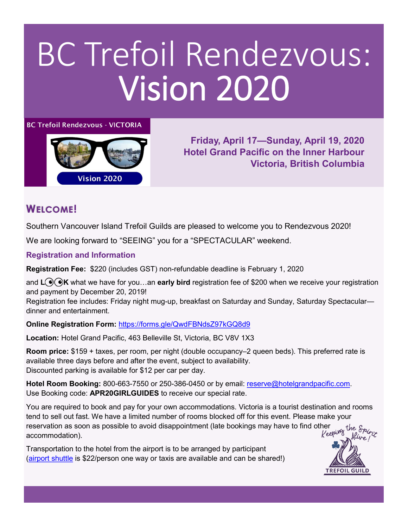## BC Trefoil Rendezvous: Vision 2020

### **BC Trefoil Rendezvous - VICTORIA**



**Friday, April 17—Sunday, April 19, 2020 Hotel Grand Pacific on the Inner Harbour Victoria, British Columbia**

**TREFOIL GUILD** 

## **WELCOME!**

Southern Vancouver Island Trefoil Guilds are pleased to welcome you to Rendezvous 2020!

We are looking forward to "SEEING" you for a "SPECTACULAR" weekend.

**Registration and Information**

**Registration Fee:** \$220 (includes GST) non-refundable deadline is February 1, 2020

and L<sup>O</sup>OK what we have for you...an **early bird** registration fee of \$200 when we receive your registration and payment by December 20, 2019!

Registration fee includes: Friday night mug-up, breakfast on Saturday and Sunday, Saturday Spectacular dinner and entertainment.

**Online Registration Form:** <https://forms.gle/QwdFBNdsZ97kGQ8d9>

**Location:** Hotel Grand Pacific, 463 Belleville St, Victoria, BC V8V 1X3

**Room price:** \$159 + taxes, per room, per night (double occupancy–2 queen beds). This preferred rate is available three days before and after the event, subject to availability. Discounted parking is available for \$12 per car per day.

**Hotel Room Booking:** 800-663-7550 or 250-386-0450 or by email: [reserve@hotelgrandpacific.com.](mailto:reserve@hotelgrandpacific.com) Use Booking code: **APR20GIRLGUIDES** to receive our special rate.

You are required to book and pay for your own accommodations. Victoria is a tourist destination and rooms tend to sell out fast. We have a limited number of rooms blocked off for this event. Please make your reservation as soon as possible to avoid disappointment (late bookings may have to find other the *Spirity*<br>accommodation) accommodation). Alive/

Transportation to the hotel from the airport is to be arranged by participant ([airport shuttle](https://yyjairportshuttle.com/) is \$22/person one way or taxis are available and can be shared!)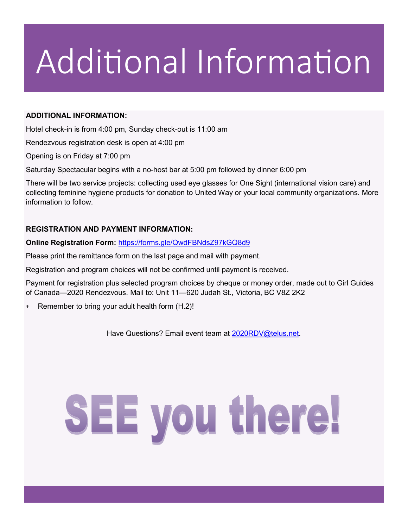## Additional Information

### **ADDITIONAL INFORMATION:**

Hotel check-in is from 4:00 pm, Sunday check-out is 11:00 am

Rendezvous registration desk is open at 4:00 pm

Opening is on Friday at 7:00 pm

Saturday Spectacular begins with a no-host bar at 5:00 pm followed by dinner 6:00 pm

There will be two service projects: collecting used eye glasses for One Sight (international vision care) and collecting feminine hygiene products for donation to United Way or your local community organizations. More information to follow.

### **REGISTRATION AND PAYMENT INFORMATION:**

**Online Registration Form:** <https://forms.gle/QwdFBNdsZ97kGQ8d9>

Please print the remittance form on the last page and mail with payment.

Registration and program choices will not be confirmed until payment is received.

Payment for registration plus selected program choices by cheque or money order, made out to Girl Guides of Canada—2020 Rendezvous. Mail to: Unit 11—620 Judah St., Victoria, BC V8Z 2K2

Remember to bring your adult health form (H.2)!

Have Questions? Email event team at 2020RDV@telus.net.

# SEE you there!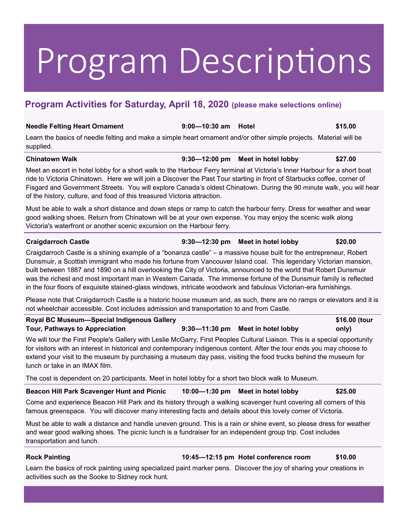## Program Descriptions

## **Program Activities for Saturday, April 18, 2020 (please make selections online)**

## **Needle Felting Heart Ornament 9:00—10:30 am Hotel \$15.00** Learn the basics of needle felting and make a simple heart ornament and/or other simple projects. Material will be supplied. **Chinatown Walk 9:30—12:00 pm Meet in hotel lobby \$27.00** Meet an escort in hotel lobby for a short walk to the Harbour Ferry terminal at Victoria's Inner Harbour for a short boat ride to Victoria Chinatown. Here we will join a Discover the Past Tour starting in front of Starbucks coffee, corner of Fisgard and Government Streets. You will explore Canada's oldest Chinatown. During the 90 minute walk, you will hear of the history, culture, and food of this treasured Victoria attraction. Must be able to walk a short distance and down steps or ramp to catch the harbour ferry. Dress for weather and wear good walking shoes. Return from Chinatown will be at your own expense. You may enjoy the scenic walk along Victoria's waterfront or another scenic excursion on the Harbour ferry. **Craigdarroch Castle 9:30—12:30 pm Meet in hotel lobby \$20.00** Craigdarroch Castle is a shining example of a "bonanza castle" – a massive house built for the entrepreneur, Robert Dunsmuir, a Scottish immigrant who made his fortune from Vancouver Island coal. This legendary Victorian mansion,

built between 1887 and 1890 on a hill overlooking the City of Victoria, announced to the world that Robert Dunsmuir was the richest and most important man in Western Canada. The immense fortune of the Dunsmuir family is reflected in the four floors of exquisite stained-glass windows, intricate woodwork and fabulous Victorian-era furnishings.

Please note that Craigdarroch Castle is a historic house museum and, as such, there are no ramps or elevators and it is not wheelchair accessible. Cost includes admission and transportation to and from Castle.

| Royal BC Museum-Special Indigenous Gallery |                                   | \$16.00 (tour |
|--------------------------------------------|-----------------------------------|---------------|
| Tour, Pathways to Appreciation             | 9:30-11:30 pm Meet in hotel lobby | only)         |

We will tour the First People's Gallery with Leslie McGarry, First Peoples Cultural Liaison. This is a special opportunity for visitors with an interest in historical and contemporary indigenous content. After the tour ends you may choose to extend your visit to the museum by purchasing a museum day pass, visiting the food trucks behind the museum for lunch or take in an IMAX film.

The cost is dependent on 20 participants. Meet in hotel lobby for a short two block walk to Museum.

**Beacon Hill Park Scavenger Hunt and Picnic 10:00—1:30 pm Meet in hotel lobby \$25.00**

Come and experience Beacon Hill Park and its history through a walking scavenger hunt covering all corners of this famous greenspace. You will discover many interesting facts and details about this lovely corner of Victoria.

Must be able to walk a distance and handle uneven ground. This is a rain or shine event, so please dress for weather and wear good walking shoes. The picnic lunch is a fundraiser for an independent group trip. Cost includes transportation and lunch.

**Rock Painting 10:45—12:15 pm Hotel conference room \$10.00**

Learn the basics of rock painting using specialized paint marker pens. Discover the joy of sharing your creations in activities such as the Sooke to Sidney rock hunt.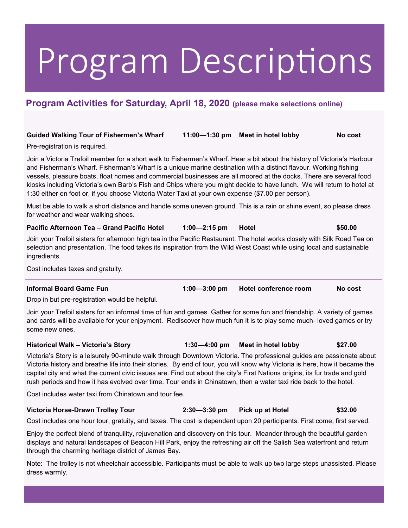## Program Descriptions

## **Program Activities for Saturday, April 18, 2020 (please make selections online)**

### **Guided Walking Tour of Fishermen's Wharf 11:00—1:30 pm Meet in hotel lobby No cost**

Pre-registration is required.

Join a Victoria Trefoil member for a short walk to Fishermen's Wharf. Hear a bit about the history of Victoria's Harbour and Fisherman's Wharf. Fisherman's Wharf is a unique marine destination with a distinct flavour. Working fishing vessels, pleasure boats, float homes and commercial businesses are all moored at the docks. There are several food kiosks including Victoria's own Barb's Fish and Chips where you might decide to have lunch. We will return to hotel at 1:30 either on foot or, if you choose Victoria Water Taxi at your own expense (\$7.00 per person).

Must be able to walk a short distance and handle some uneven ground. This is a rain or shine event, so please dress for weather and wear walking shoes.

| Pacific Afternoon Tea - Grand Pacific Hotel | $1:00 - 2:15$ pm Hotel |  | \$50.00 |
|---------------------------------------------|------------------------|--|---------|
|---------------------------------------------|------------------------|--|---------|

Join your Trefoil sisters for afternoon high tea in the Pacific Restaurant. The hotel works closely with Silk Road Tea on selection and presentation. The food takes its inspiration from the Wild West Coast while using local and sustainable ingredients.

Cost includes taxes and gratuity.

**Informal Board Game Fun 1:00—3:00 pm Hotel conference room No cost**

Drop in but pre-registration would be helpful.

Join your Trefoil sisters for an informal time of fun and games. Gather for some fun and friendship. A variety of games and cards will be available for your enjoyment. Rediscover how much fun it is to play some much- loved games or try some new ones.

### **Historical Walk – Victoria's Story 1:30—4:00 pm Meet in hotel lobby \$27.00**

Victoria's Story is a leisurely 90-minute walk through Downtown Victoria. The professional guides are passionate about Victoria history and breathe life into their stories. By end of tour, you will know why Victoria is here, how it became the capital city and what the current civic issues are. Find out about the city's First Nations origins, its fur trade and gold rush periods and how it has evolved over time. Tour ends in Chinatown, then a water taxi ride back to the hotel.

Cost includes water taxi from Chinatown and tour fee.

### **Victoria Horse-Drawn Trolley Tour 2:30—3:30 pm Pick up at Hotel \$32.00**

Cost includes one hour tour, gratuity, and taxes. The cost is dependent upon 20 participants. First come, first served.

Enjoy the perfect blend of tranquility, rejuvenation and discovery on this tour. Meander through the beautiful garden displays and natural landscapes of Beacon Hill Park, enjoy the refreshing air off the Salish Sea waterfront and return through the charming heritage district of James Bay.

Note: The trolley is not wheelchair accessible. Participants must be able to walk up two large steps unassisted. Please dress warmly.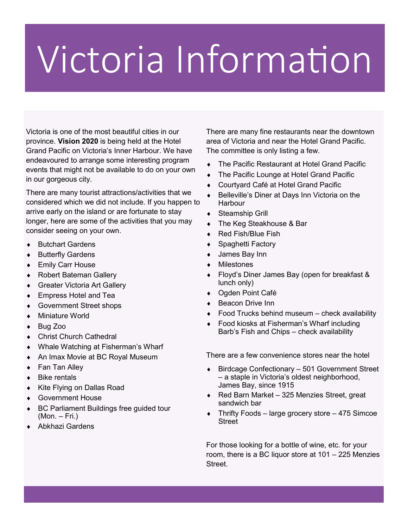## Victoria Information

Victoria is one of the most beautiful cities in our province. **Vision 2020** is being held at the Hotel Grand Pacific on Victoria's Inner Harbour. We have endeavoured to arrange some interesting program events that might not be available to do on your own in our gorgeous city.

There are many tourist attractions/activities that we considered which we did not include. If you happen to arrive early on the island or are fortunate to stay longer, here are some of the activities that you may consider seeing on your own.

- ◆ Butchart Gardens
- ◆ Butterfly Gardens
- ◆ Emily Carr House
- Robert Bateman Gallery
- Greater Victoria Art Gallery
- Empress Hotel and Tea
- Government Street shops
- Miniature World
- ◆ Bug Zoo
- ◆ Christ Church Cathedral
- Whale Watching at Fisherman's Wharf
- An Imax Movie at BC Royal Museum
- ◆ Fan Tan Alley
- ◆ Bike rentals
- ◆ Kite Flying on Dallas Road
- Government House
- BC Parliament Buildings free guided tour (Mon. – Fri.)
- Abkhazi Gardens

There are many fine restaurants near the downtown area of Victoria and near the Hotel Grand Pacific. The committee is only listing a few.

- The Pacific Restaurant at Hotel Grand Pacific
- The Pacific Lounge at Hotel Grand Pacific
- Courtyard Café at Hotel Grand Pacific
- Belleville's Diner at Days Inn Victoria on the **Harbour**
- Steamship Grill
- ◆ The Keg Steakhouse & Bar
- Red Fish/Blue Fish
- Spaghetti Factory
- James Bay Inn
- Milestones
- Floyd's Diner James Bay (open for breakfast & lunch only)
- Ogden Point Café
- ◆ Beacon Drive Inn
- $\bullet$  Food Trucks behind museum check availability
- ◆ Food kiosks at Fisherman's Wharf including Barb's Fish and Chips – check availability

There are a few convenience stores near the hotel

- Birdcage Confectionary 501 Government Street – a staple in Victoria's oldest neighborhood, James Bay, since 1915
- ◆ Red Barn Market 325 Menzies Street, great sandwich bar
- Thrifty Foods large grocery store 475 Simcoe **Street**

For those looking for a bottle of wine, etc. for your room, there is a BC liquor store at 101 – 225 Menzies Street.